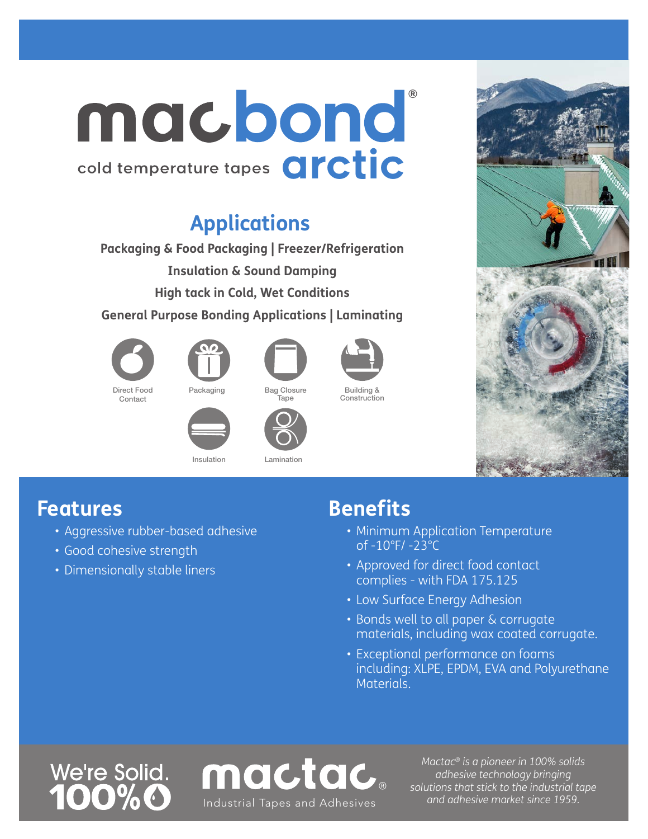## cold temperature tapes Orctic macbond

### **Applications**

**Packaging & Food Packaging | Freezer/Refrigeration Insulation & Sound Damping High tack in Cold, Wet Conditions**

**General Purpose Bonding Applications | Laminating** 









Building & Construction

Packaging Bag Closure **Tape** 







Insulation Lamination



#### **Features**

- Aggressive rubber-based adhesive
- Good cohesive strength
- Dimensionally stable liners

### **Benefits**

- Minimum Application Temperature of -10°F/ -23°C
- Approved for direct food contact complies - with FDA 175.125
- Low Surface Energy Adhesion
- Bonds well to all paper & corrugate materials, including wax coated corrugate.
- Exceptional performance on foams including: XLPE, EPDM, EVA and Polyurethane Materials.

# We're Solid.



*Mactac® is a pioneer in 100% solids adhesive technology bringing solutions that stick to the industrial tape*